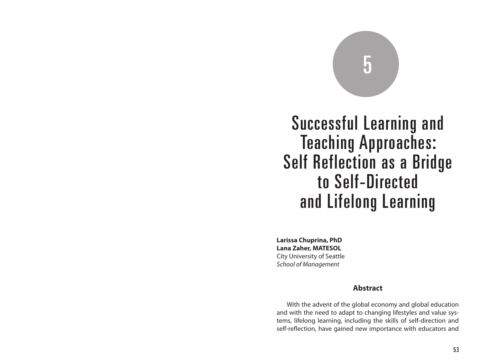# 5

Successful Learning and Teaching Approaches: Self Reflection as a Bridge to Self-Directed and Lifelong Learning

**Larissa Chuprina, PhD Lana Zaher, MATESOL** City University of Seattle *School of Management*

## **Abstract**

With the advent of the global economy and global education and with the need to adapt to changing lifestyles and value systems, lifelong learning, including the skills of self-direction and self-reflection, have gained new importance with educators and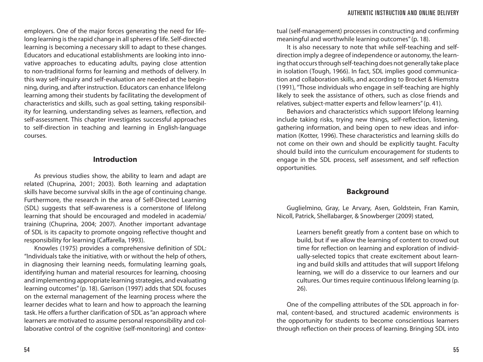employers. One of the major forces generating the need for lifelong learning is the rapid change in all spheres of life. Self-directed learning is becoming a necessary skill to adapt to these changes. Educators and educational establishments are looking into innovative approaches to educating adults, paying close attention to non-traditional forms for learning and methods of delivery. In this way self-inquiry and self-evaluation are needed at the beginning, during, and after instruction. Educators can enhance lifelong learning among their students by facilitating the development of characteristics and skills, such as goal setting, taking responsibility for learning, understanding selves as learners, reflection, and self-assessment. This chapter investigates successful approaches to self-direction in teaching and learning in English-language courses.

### **Introduction**

As previous studies show, the ability to learn and adapt are related (Chuprina, 2001; 2003). Both learning and adaptation skills have become survival skills in the age of continuing change. Furthermore, the research in the area of Self-Directed Learning (SDL) suggests that self-awareness is a cornerstone of lifelong learning that should be encouraged and modeled in academia/ training (Chuprina, 2004; 2007). Another important advantage of SDL is its capacity to promote ongoing reflective thought and responsibility for learning (Caffarella, 1993).

Knowles (1975) provides a comprehensive definition of SDL: "Individuals take the initiative, with or without the help of others, in diagnosing their learning needs, formulating learning goals, identifying human and material resources for learning, choosing and implementing appropriate learning strategies, and evaluating learning outcomes" (p. 18). Garrison (1997) adds that SDL focuses on the external management of the learning process where the learner decides what to learn and how to approach the learning task. He offers a further clarification of SDL as "an approach where learners are motivated to assume personal responsibility and collaborative control of the cognitive (self-monitoring) and contextual (self-management) processes in constructing and confirming meaningful and worthwhile learning outcomes" (p. 18).

It is also necessary to note that while self-teaching and selfdirection imply a degree of independence or autonomy, the learning that occurs through self-teaching does not generally take place in isolation (Tough, 1966). In fact, SDL implies good communication and collaboration skills, and according to Brocket & Hiemstra (1991), "Those individuals who engage in self-teaching are highly likely to seek the assistance of others, such as close friends and relatives, subject-matter experts and fellow learners" (p. 41).

Behaviors and characteristics which support lifelong learning include taking risks, trying new things, self-reflection, listening, gathering information, and being open to new ideas and information (Kotter, 1996). These characteristics and learning skills do not come on their own and should be explicitly taught. Faculty should build into the curriculum encouragement for students to engage in the SDL process, self assessment, and self reflection opportunities.

### **Background**

Guglielmino, Gray, Le Arvary, Asen, Goldstein, Fran Kamin, Nicoll, Patrick, Shellabarger, & Snowberger (2009) stated,

> Learners benefit greatly from a content base on which to build, but if we allow the learning of content to crowd out time for reflection on learning and exploration of individually-selected topics that create excitement about learning and build skills and attitudes that will support lifelong learning, we will do a disservice to our learners and our cultures. Our times require continuous lifelong learning (p. 26).

One of the compelling attributes of the SDL approach in formal, content-based, and structured academic environments is the opportunity for students to become conscientious learners through reflection on their process of learning. Bringing SDL into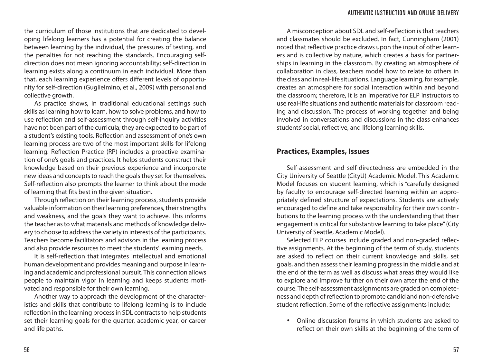the curriculum of those institutions that are dedicated to developing lifelong learners has a potential for creating the balance between learning by the individual, the pressures of testing, and the penalties for not reaching the standards. Encouraging selfdirection does not mean ignoring accountability; self-direction in learning exists along a continuum in each individual. More than that, each learning experience offers different levels of opportunity for self-direction (Guglielmino, et al., 2009) with personal and collective growth.

As practice shows, in traditional educational settings such skills as learning how to learn, how to solve problems, and how to use reflection and self-assessment through self-inquiry activities have not been part of the curricula; they are expected to be part of a student's existing tools. Reflection and assessment of one's own learning process are two of the most important skills for lifelong learning. Reflection Practice (RP) includes a proactive examination of one's goals and practices. It helps students construct their knowledge based on their previous experience and incorporate new ideas and concepts to reach the goals they set for themselves. Self-reflection also prompts the learner to think about the mode of learning that fits best in the given situation.

Through reflection on their learning process, students provide valuable information on their learning preferences, their strengths and weakness, and the goals they want to achieve. This informs the teacher as to what materials and methods of knowledge delivery to choose to address the variety in interests of the participants. Teachers become facilitators and advisors in the learning process and also provide resources to meet the students' learning needs.

It is self-reflection that integrates intellectual and emotional human development and provides meaning and purpose in learning and academic and professional pursuit. This connection allows people to maintain vigor in learning and keeps students motivated and responsible for their own learning.

Another way to approach the development of the characteristics and skills that contribute to lifelong learning is to include reflection in the learning process in SDL contracts to help students set their learning goals for the quarter, academic year, or career and life paths.

A misconception about SDL and self-reflection is that teachers and classmates should be excluded. In fact, Cunningham (2001) noted that reflective practice draws upon the input of other learners and is collective by nature, which creates a basis for partnerships in learning in the classroom. By creating an atmosphere of collaboration in class, teachers model how to relate to others in the class and in real-life situations. Language learning, for example, creates an atmosphere for social interaction within and beyond the classroom; therefore, it is an imperative for ELP instructors to use real-life situations and authentic materials for classroom reading and discussion. The process of working together and being involved in conversations and discussions in the class enhances students' social, reflective, and lifelong learning skills.

# **Practices, Examples, Issues**

Self-assessment and self-directedness are embedded in the City University of Seattle (CityU) Academic Model. This Academic Model focuses on student learning, which is "carefully designed by faculty to encourage self-directed learning within an appropriately defined structure of expectations. Students are actively encouraged to define and take responsibility for their own contributions to the learning process with the understanding that their engagement is critical for substantive learning to take place" (City University of Seattle, Academic Model).

Selected ELP courses include graded and non-graded reflective assignments. At the beginning of the term of study, students are asked to reflect on their current knowledge and skills, set goals, and then assess their learning progress in the middle and at the end of the term as well as discuss what areas they would like to explore and improve further on their own after the end of the course. The self-assessment assignments are graded on completeness and depth of reflection to promote candid and non-defensive student reflection. Some of the reflective assignments include:

• Online discussion forums in which students are asked to reflect on their own skills at the beginning of the term of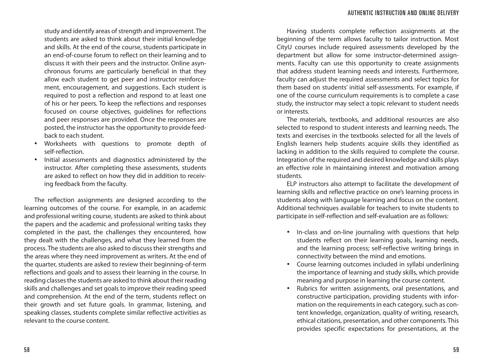study and identify areas of strength and improvement. The students are asked to think about their initial knowledge and skills. At the end of the course, students participate in an end-of-course forum to reflect on their learning and to discuss it with their peers and the instructor. Online asynchronous forums are particularly beneficial in that they allow each student to get peer and instructor reinforcement, encouragement, and suggestions. Each student is required to post a reflection and respond to at least one of his or her peers. To keep the reflections and responses focused on course objectives, guidelines for reflections and peer responses are provided. Once the responses are posted, the instructor has the opportunity to provide feedback to each student.

- Worksheets with questions to promote depth of self-reflection.
- Initial assessments and diagnostics administered by the instructor. After completing these assessments, students are asked to reflect on how they did in addition to receiving feedback from the faculty.

The reflection assignments are designed according to the learning outcomes of the course. For example, in an academic and professional writing course, students are asked to think about the papers and the academic and professional writing tasks they completed in the past, the challenges they encountered, how they dealt with the challenges, and what they learned from the process. The students are also asked to discuss their strengths and the areas where they need improvement as writers. At the end of the quarter, students are asked to review their beginning-of-term reflections and goals and to assess their learning in the course. In reading classes the students are asked to think about their reading skills and challenges and set goals to improve their reading speed and comprehension. At the end of the term, students reflect on their growth and set future goals. In grammar, listening, and speaking classes, students complete similar reflective activities as relevant to the course content.

Having students complete reflection assignments at the beginning of the term allows faculty to tailor instruction. Most CityU courses include required assessments developed by the department but allow for some instructor-determined assignments. Faculty can use this opportunity to create assignments that address student learning needs and interests. Furthermore, faculty can adjust the required assessments and select topics for them based on students' initial self-assessments. For example, if one of the course curriculum requirements is to complete a case study, the instructor may select a topic relevant to student needs or interests.

The materials, textbooks, and additional resources are also selected to respond to student interests and learning needs. The texts and exercises in the textbooks selected for all the levels of English learners help students acquire skills they identified as lacking in addition to the skills required to complete the course. Integration of the required and desired knowledge and skills plays an effective role in maintaining interest and motivation among students.

ELP instructors also attempt to facilitate the development of learning skills and reflective practice on one's learning process in students along with language learning and focus on the content. Additional techniques available for teachers to invite students to participate in self-reflection and self-evaluation are as follows:

- In-class and on-line journaling with questions that help students reflect on their learning goals, learning needs, and the learning process; self-reflective writing brings in connectivity between the mind and emotions.
- Course learning outcomes included in syllabi underlining the importance of learning and study skills, which provide meaning and purpose in learning the course content.
- Rubrics for written assignments, oral presentations, and constructive participation, providing students with information on the requirements in each category, such as content knowledge, organization, quality of writing, research, ethical citations, presentation, and other components. This provides specific expectations for presentations, at the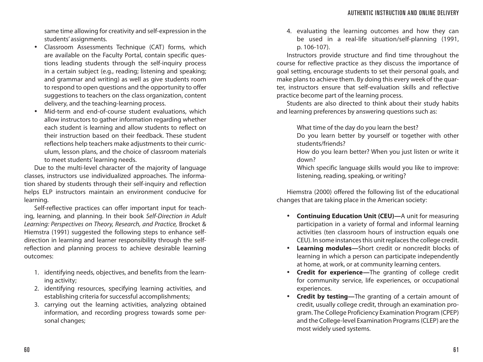same time allowing for creativity and self-expression in the students' assignments.

- Classroom Assessments Technique (CAT) forms, which are available on the Faculty Portal, contain specific questions leading students through the self-inquiry process in a certain subject (e.g., reading; listening and speaking; and grammar and writing) as well as give students room to respond to open questions and the opportunity to offer suggestions to teachers on the class organization, content delivery, and the teaching-learning process.
- Mid-term and end-of-course student evaluations, which allow instructors to gather information regarding whether each student is learning and allow students to reflect on their instruction based on their feedback. These student reflections help teachers make adjustments to their curriculum, lesson plans, and the choice of classroom materials to meet students' learning needs.

Due to the multi-level character of the majority of language classes, instructors use individualized approaches. The information shared by students through their self-inquiry and reflection helps ELP instructors maintain an environment conducive for learning.

Self-reflective practices can offer important input for teaching, learning, and planning. In their book *Self-Direction in Adult Learning: Perspectives on Theory, Research, and Practice,* Brocket & Hiemstra (1991) suggested the following steps to enhance selfdirection in learning and learner responsibility through the selfreflection and planning process to achieve desirable learning outcomes:

- 1. identifying needs, objectives, and benefits from the learning activity;
- 2. identifying resources, specifying learning activities, and establishing criteria for successful accomplishments;
- 3. carrying out the learning activities, analyzing obtained information, and recording progress towards some personal changes;

4. evaluating the learning outcomes and how they can be used in a real-life situation/self-planning (1991, p. 106-107).

Instructors provide structure and find time throughout the course for reflective practice as they discuss the importance of goal setting, encourage students to set their personal goals, and make plans to achieve them. By doing this every week of the quarter, instructors ensure that self-evaluation skills and reflective practice become part of the learning process.

Students are also directed to think about their study habits and learning preferences by answering questions such as:

What time of the day do you learn the best?

- Do you learn better by yourself or together with other students/friends?
- How do you learn better? When you just listen or write it down?
- Which specific language skills would you like to improve: listening, reading, speaking, or writing?

Hiemstra (2000) offered the following list of the educational changes that are taking place in the American society:

- **Continuing Education Unit (CEU)—**A unit for measuring participation in a variety of formal and informal learning activities (ten classroom hours of instruction equals one CEU). In some instances this unit replaces the college credit.
- **Learning modules—**Short credit or noncredit blocks of learning in which a person can participate independently at home, at work, or at community learning centers.
- **Credit for experience—**The granting of college credit for community service, life experiences, or occupational experiences.
- **Credit by testing—**The granting of a certain amount of credit, usually college credit, through an examination program. The College Proficiency Examination Program (CPEP) and the College-level Examination Programs (CLEP) are the most widely used systems.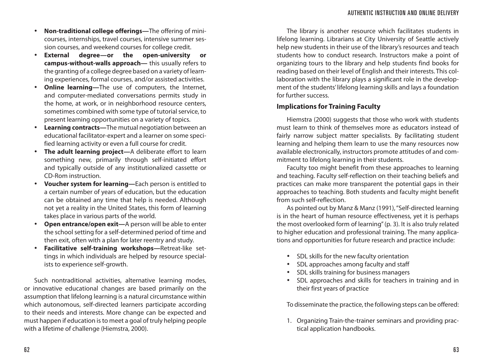- **Non-traditional college offerings—**The offering of minicourses, internships, travel courses, intensive summer session courses, and weekend courses for college credit.
- **External degree—or the open-university or campus-without-walls approach—** this usually refers to the granting of a college degree based on a variety of learning experiences, formal courses, and/or assisted activities.
- **Online learning—The use of computers, the Internet,** and computer-mediated conversations permits study in the home, at work, or in neighborhood resource centers, sometimes combined with some type of tutorial service, to present learning opportunities on a variety of topics.
- **Learning contracts—**The mutual negotiation between an educational facilitator-expert and a learner on some specified learning activity or even a full course for credit.
- **The adult learning project—**A deliberate effort to learn something new, primarily through self-initiated effort and typically outside of any institutionalized cassette or CD-Rom instruction.
- **Voucher system for learning—**Each person is entitled to a certain number of years of education, but the education can be obtained any time that help is needed. Although not yet a reality in the United States, this form of learning takes place in various parts of the world.
- **Open entrance/open exit—**A person will be able to enter the school setting for a self-determined period of time and then exit, often with a plan for later reentry and study.
- **Facilitative self-training workshops—**Retreat-like settings in which individuals are helped by resource specialists to experience self-growth.

Such nontraditional activities, alternative learning modes, or innovative educational changes are based primarily on the assumption that lifelong learning is a natural circumstance within which autonomous, self-directed learners participate according to their needs and interests. More change can be expected and must happen if education is to meet a goal of truly helping people with a lifetime of challenge (Hiemstra, 2000).

The library is another resource which facilitates students in lifelong learning. Librarians at City University of Seattle actively help new students in their use of the library's resources and teach students how to conduct research. Instructors make a point of organizing tours to the library and help students find books for reading based on their level of English and their interests. This collaboration with the library plays a significant role in the development of the students' lifelong learning skills and lays a foundation for further success.

### **Implications for Training Faculty**

Hiemstra (2000) suggests that those who work with students must learn to think of themselves more as educators instead of fairly narrow subject matter specialists. By facilitating student learning and helping them learn to use the many resources now available electronically, instructors promote attitudes of and commitment to lifelong learning in their students.

Faculty too might benefit from these approaches to learning and teaching. Faculty self-reflection on their teaching beliefs and practices can make more transparent the potential gaps in their approaches to teaching. Both students and faculty might benefit from such self-reflection.

As pointed out by Manz & Manz (1991), "Self-directed learning is in the heart of human resource effectiveness, yet it is perhaps the most overlooked form of learning" (p. 3). It is also truly related to higher education and professional training. The many applications and opportunities for future research and practice include:

- SDL skills for the new faculty orientation
- SDL approaches among faculty and staff
- SDL skills training for business managers
- SDL approaches and skills for teachers in training and in their first years of practice

To disseminate the practice, the following steps can be offered:

1. Organizing Train-the-trainer seminars and providing practical application handbooks.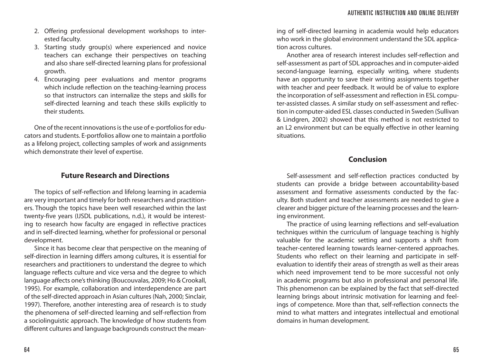- 2. Offering professional development workshops to interested faculty.
- 3. Starting study group(s) where experienced and novice teachers can exchange their perspectives on teaching and also share self-directed learning plans for professional growth.
- 4. Encouraging peer evaluations and mentor programs which include reflection on the teaching-learning process so that instructors can internalize the steps and skills for self-directed learning and teach these skills explicitly to their students.

One of the recent innovations is the use of e-portfolios for educators and students. E-portfolios allow one to maintain a portfolio as a lifelong project, collecting samples of work and assignments which demonstrate their level of expertise.

# **Future Research and Directions**

The topics of self-reflection and lifelong learning in academia are very important and timely for both researchers and practitioners. Though the topics have been well researched within the last twenty-five years (IJSDL publications, n.d.), it would be interesting to research how faculty are engaged in reflective practices and in self-directed learning, whether for professional or personal development.

Since it has become clear that perspective on the meaning of self-direction in learning differs among cultures, it is essential for researchers and practitioners to understand the degree to which language reflects culture and vice versa and the degree to which language affects one's thinking (Boucouvalas, 2009; Ho & Crookall, 1995). For example, collaboration and interdependence are part of the self-directed approach in Asian cultures (Nah, 2000; Sinclair, 1997). Therefore, another interesting area of research is to study the phenomena of self-directed learning and self-reflection from a sociolinguistic approach. The knowledge of how students from different cultures and language backgrounds construct the mean-

ing of self-directed learning in academia would help educators who work in the global environment understand the SDL application across cultures.

Another area of research interest includes self-reflection and self-assessment as part of SDL approaches and in computer-aided second-language learning, especially writing, where students have an opportunity to save their writing assignments together with teacher and peer feedback. It would be of value to explore the incorporation of self-assessment and reflection in ESL computer-assisted classes. A similar study on self-assessment and reflection in computer-aided ESL classes conducted in Sweden (Sullivan & Lindgren, 2002) showed that this method is not restricted to an L2 environment but can be equally effective in other learning situations.

# **Conclusion**

Self-assessment and self-reflection practices conducted by students can provide a bridge between accountability-based assessment and formative assessments conducted by the faculty. Both student and teacher assessments are needed to give a clearer and bigger picture of the learning processes and the learning environment.

The practice of using learning reflections and self-evaluation techniques within the curriculum of language teaching is highly valuable for the academic setting and supports a shift from teacher-centered learning towards learner-centered approaches. Students who reflect on their learning and participate in selfevaluation to identify their areas of strength as well as their areas which need improvement tend to be more successful not only in academic programs but also in professional and personal life. This phenomenon can be explained by the fact that self-directed learning brings about intrinsic motivation for learning and feelings of competence. More than that, self-reflection connects the mind to what matters and integrates intellectual and emotional domains in human development.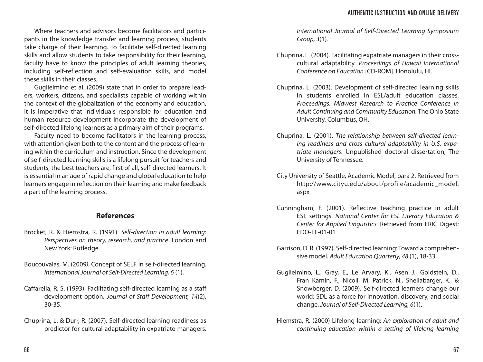Where teachers and advisors become facilitators and participants in the knowledge transfer and learning process, students take charge of their learning. To facilitate self-directed learning skills and allow students to take responsibility for their learning, faculty have to know the principles of adult learning theories, including self-reflection and self-evaluation skills, and model these skills in their classes.

Guglielmino et al. (2009) state that in order to prepare leaders, workers, citizens, and specialists capable of working within the context of the globalization of the economy and education, it is imperative that individuals responsible for education and human resource development incorporate the development of self-directed lifelong learners as a primary aim of their programs.

Faculty need to become facilitators in the learning process, with attention given both to the content and the process of learning within the curriculum and instruction. Since the development of self-directed learning skills is a lifelong pursuit for teachers and students, the best teachers are, first of all, self-directed learners. It is essential in an age of rapid change and global education to help learners engage in reflection on their learning and make feedback a part of the learning process.

## **References**

- Brocket, R. & Hiemstra, R. (1991). *Self-direction in adult learning: Perspectives on theory, research, and practice*. London and New York: Rutledge.
- Boucouvalas, M. (2009*).* Concept of SELF in self-directed learning. *International Journal of Self-Directed Learning, 6* (1).
- Caffarella, R. S. (1993). Facilitating self-directed learning as a staff development option. *Journal of Staff Development, 14*(2), 30-35.
- Chuprina, L. & Durr, R. (2007). Self-directed learning readiness as predictor for cultural adaptability in expatriate managers.

*International Journal of Self-Directed Learning Symposium Group, 3*(1)*.*

- Chuprina, L. (2004). Facilitating expatriate managers in their crosscultural adaptability. *Proceedings of Hawaii International Conference on Education* [CD-ROM]. Honolulu, HI.
- Chuprina, L. (2003). Development of self-directed learning skills in students enrolled in ESL/adult education classes. *Proceedings. Midwest Research to Practice Conference in Adult Continuing and Community Education.* The Ohio State University, Columbus, OH.
- Chuprina, L. (2001). *The relationship between self-directed learning readiness and cross cultural adaptability in U.S. expatriate managers*. Unpublished doctoral dissertation, The University of Tennessee.
- City University of Seattle, Academic Model, para 2. Retrieved from http://www.cityu.edu/about/profile/academic\_model. aspx
- Cunningham, F. (2001). Reflective teaching practice in adult ESL settings. *National Center for ESL Literacy Education & Center for Applied Linguistics.* Retrieved from ERIC Digest: EDO-LE-01-01
- Garrison, D. R. (1997). Self-directed learning: Toward a comprehensive model. *Adult Education Quarterly, 48* (1), 18-33.
- Guglielmino, L., Gray, E., Le Arvary, K., Asen J., Goldstein, D., Fran Kamin, F., Nicoll, M. Patrick, N., Shellabarger, K., & Snowberger, D. (2009). Self-directed learners change our world: SDL as a force for innovation, discovery, and social change. *Journal of Self-Directed Learning, 6*(1).
- Hiemstra, R. (2000) Lifelong learning: *An exploration of adult and continuing education within a setting of lifelong learning*